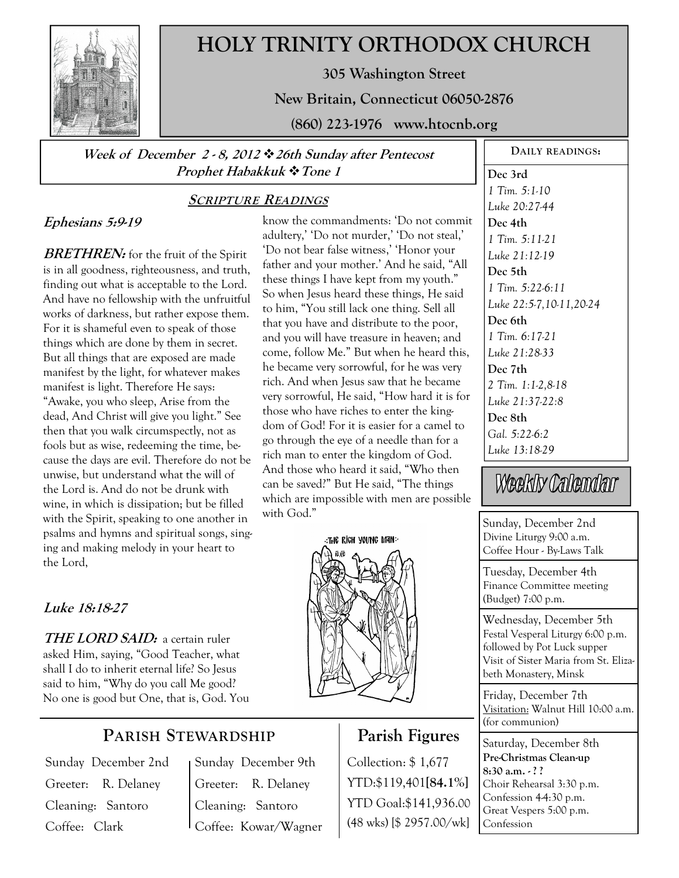

# **HOLY TRINITY ORTHODOX CHURCH**

**305 Washington Street** 

**New Britain, Connecticut 06050-2876** 

**(860) 223-1976 www.htocnb.org** 

**Week of December 2 - 8, 2012 26th Sunday after Pentecost Prophet Habakkuk Tone 1** 

### **SCRIPTURE READINGS**

### **Ephesians 5:9-19**

**BRETHREN:** for the fruit of the Spirit is in all goodness, righteousness, and truth, finding out what is acceptable to the Lord. And have no fellowship with the unfruitful works of darkness, but rather expose them. For it is shameful even to speak of those things which are done by them in secret. But all things that are exposed are made manifest by the light, for whatever makes manifest is light. Therefore He says: "Awake, you who sleep, Arise from the dead, And Christ will give you light." See then that you walk circumspectly, not as fools but as wise, redeeming the time, because the days are evil. Therefore do not be unwise, but understand what the will of the Lord is. And do not be drunk with wine, in which is dissipation; but be filled with the Spirit, speaking to one another in psalms and hymns and spiritual songs, singing and making melody in your heart to the Lord,

## **Luke 18:18-27**

**THE LORD SAID:** a certain ruler asked Him, saying, "Good Teacher, what shall I do to inherit eternal life? So Jesus said to him, "Why do you call Me good? No one is good but One, that is, God. You

# **PARISH STEWARDSHIP**

Sunday December 2nd Greeter: R. Delaney Cleaning: Santoro Coffee: Clark

Sunday December 9th Greeter: R. Delaney Cleaning: Santoro Coffee: Kowar/Wagner

know the commandments: 'Do not commit adultery,' 'Do not murder,' 'Do not steal,' 'Do not bear false witness,' 'Honor your father and your mother.' And he said, "All these things I have kept from my youth." So when Jesus heard these things, He said to him, "You still lack one thing. Sell all that you have and distribute to the poor, and you will have treasure in heaven; and come, follow Me." But when he heard this, he became very sorrowful, for he was very rich. And when Jesus saw that he became very sorrowful, He said, "How hard it is for those who have riches to enter the kingdom of God! For it is easier for a camel to go through the eye of a needle than for a rich man to enter the kingdom of God. And those who heard it said, "Who then can be saved?" But He said, "The things which are impossible with men are possible with God."



# **Parish Figures**

Collection: \$ 1,677 YTD:\$119,401**[84.1%]** YTD Goal:\$141,936.00 (48 wks) [\$ 2957.00/wk]

**Dec 3rd**  *1 Tim. 5:1-10 Luke 20:27-44*  **Dec 4th**  *1 Tim. 5:11-21 Luke 21:12-19*  **Dec 5th**  *1 Tim. 5:22-6:11 Luke 22:5-7,10-11,20-24*  **Dec 6th**  *1 Tim. 6:17-21 Luke 21:28-33*  **Dec 7th**  *2 Tim. 1:1-2,8-18 Luke 21:37-22:8*  **Dec 8th**  *Gal. 5:22-6:2 Luke 13:18-29* 

**DAILY READINGS:** 

Weekly Calendar

Sunday, December 2nd Divine Liturgy 9:00 a.m. Coffee Hour - By-Laws Talk

Tuesday, December 4th Finance Committee meeting (Budget) 7:00 p.m.

Wednesday, December 5th Festal Vesperal Liturgy 6:00 p.m. followed by Pot Luck supper Visit of Sister Maria from St. Elizabeth Monastery, Minsk

Friday, December 7th Visitation: Walnut Hill 10:00 a.m. (for communion)

Saturday, December 8th **Pre-Christmas Clean-up 8:30 a.m. - ? ?**  Choir Rehearsal 3:30 p.m. Confession  $44:30$  p.m. Great Vespers 5:00 p.m. Confession